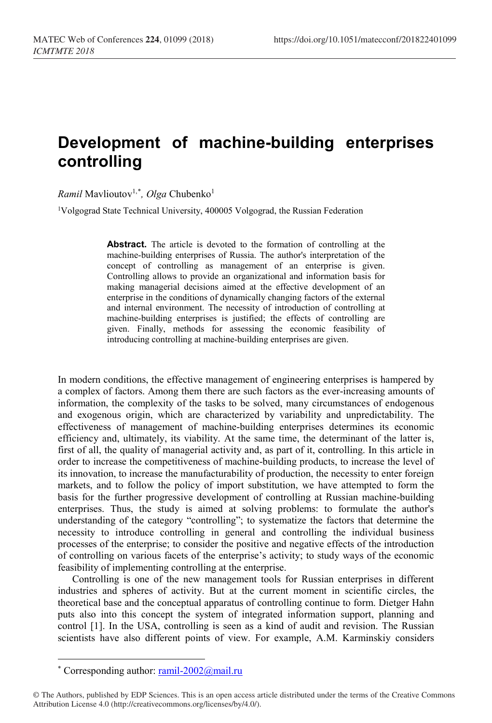## **Development of machine-building enterprises controlling**

*Ramil* Mavlioutov1,[\\*](#page-0-0) *, Olga* Chubenko1

<sup>1</sup>Volgograd State Technical University, 400005 Volgograd, the Russian Federation

**Abstract.** The article is devoted to the formation of controlling at the machine-building enterprises of Russia. The author's interpretation of the concept of controlling as management of an enterprise is given. Controlling allows to provide an organizational and information basis for making managerial decisions aimed at the effective development of an enterprise in the conditions of dynamically changing factors of the external and internal environment. The necessity of introduction of controlling at machine-building enterprises is justified; the effects of controlling are given. Finally, methods for assessing the economic feasibility of introducing controlling at machine-building enterprises are given.

In modern conditions, the effective management of engineering enterprises is hampered by a complex of factors. Among them there are such factors as the ever-increasing amounts of information, the complexity of the tasks to be solved, many circumstances of endogenous and exogenous origin, which are characterized by variability and unpredictability. The effectiveness of management of machine-building enterprises determines its economic efficiency and, ultimately, its viability. At the same time, the determinant of the latter is, first of all, the quality of managerial activity and, as part of it, controlling. In this article in order to increase the competitiveness of machine-building products, to increase the level of its innovation, to increase the manufacturability of production, the necessity to enter foreign markets, and to follow the policy of import substitution, we have attempted to form the basis for the further progressive development of controlling at Russian machine-building enterprises. Thus, the study is aimed at solving problems: to formulate the author's understanding of the category "controlling"; to systematize the factors that determine the necessity to introduce controlling in general and controlling the individual business processes of the enterprise; to consider the positive and negative effects of the introduction of controlling on various facets of the enterprise's activity; to study ways of the economic feasibility of implementing controlling at the enterprise.

Controlling is one of the new management tools for Russian enterprises in different industries and spheres of activity. But at the current moment in scientific circles, the theoretical base and the conceptual apparatus of controlling continue to form. Dietger Hahn puts also into this concept the system of integrated information support, planning and control [1]. In the USA, controlling is seen as a kind of audit and revision. The Russian scientists have also different points of view. For example, A.M. Karminskiy considers

 $\overline{a}$ 

<sup>\*</sup> Corresponding author:  $ramil-2002@mail.ru$ 

<span id="page-0-0"></span><sup>©</sup> The Authors, published by EDP Sciences. This is an open access article distributed under the terms of the Creative Commons Attribution License 4.0 (http://creativecommons.org/licenses/by/4.0/).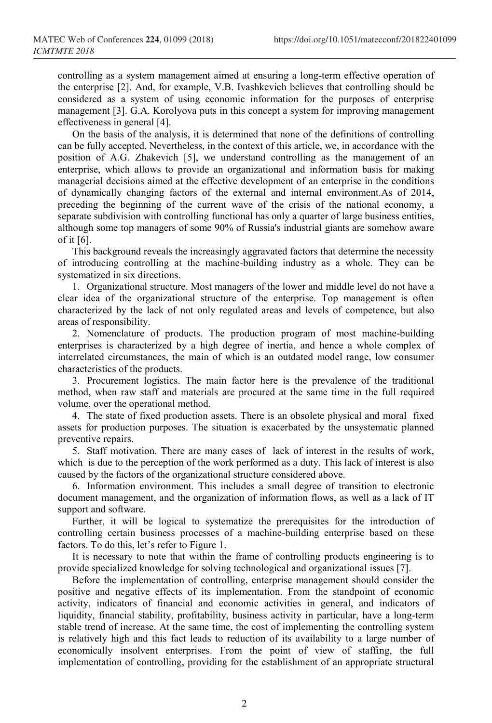controlling as a system management aimed at ensuring a long-term effective operation of the enterprise [2]. And, for example, V.B. Ivashkevich believes that controlling should be considered as a system of using economic information for the purposes of enterprise management [3]. G.A. Korolyova puts in this concept a system for improving management effectiveness in general [4].

On the basis of the analysis, it is determined that none of the definitions of controlling can be fully accepted. Nevertheless, in the context of this article, we, in accordance with the position of A.G. Zhakevich [5], we understand controlling as the management of an enterprise, which allows to provide an organizational and information basis for making managerial decisions aimed at the effective development of an enterprise in the conditions of dynamically changing factors of the external and internal environment.As of 2014, preceding the beginning of the current wave of the crisis of the national economy, a separate subdivision with controlling functional has only a quarter of large business entities, although some top managers of some 90% of Russia's industrial giants are somehow aware of it [6].

This background reveals the increasingly aggravated factors that determine the necessity of introducing controlling at the machine-building industry as a whole. They can be systematized in six directions.

1. Organizational structure. Most managers of the lower and middle level do not have a clear idea of the organizational structure of the enterprise. Top management is often characterized by the lack of not only regulated areas and levels of competence, but also areas of responsibility.

2. Nomenclature of products. The production program of most machine-building enterprises is characterized by a high degree of inertia, and hence a whole complex of interrelated circumstances, the main of which is an outdated model range, low consumer characteristics of the products.

3. Procurement logistics. The main factor here is the prevalence of the traditional method, when raw staff and materials are procured at the same time in the full required volume, over the operational method.

4. The state of fixed production assets. There is an obsolete physical and moral fixed assets for production purposes. The situation is exacerbated by the unsystematic planned preventive repairs.

5. Staff motivation. There are many cases of lack of interest in the results of work, which is due to the perception of the work performed as a duty. This lack of interest is also caused by the factors of the organizational structure considered above.

6. Information environment. This includes a small degree of transition to electronic document management, and the organization of information flows, as well as a lack of IT support and software.

Further, it will be logical to systematize the prerequisites for the introduction of controlling certain business processes of a machine-building enterprise based on these factors. To do this, let's refer to Figure 1.

It is necessary to note that within the frame of controlling products engineering is to provide specialized knowledge for solving technological and organizational issues [7].

Before the implementation of controlling, enterprise management should consider the positive and negative effects of its implementation. From the standpoint of economic activity, indicators of financial and economic activities in general, and indicators of liquidity, financial stability, profitability, business activity in particular, have a long-term stable trend of increase. At the same time, the cost of implementing the controlling system is relatively high and this fact leads to reduction of its availability to a large number of economically insolvent enterprises. From the point of view of staffing, the full implementation of controlling, providing for the establishment of an appropriate structural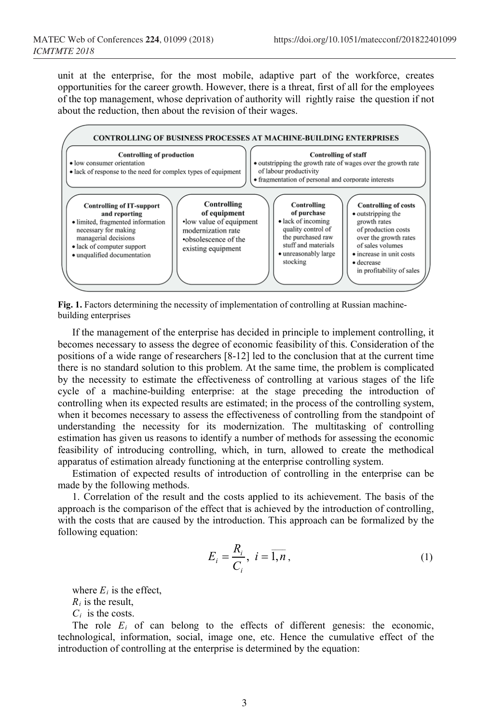unit at the enterprise, for the most mobile, adaptive part of the workforce, creates opportunities for the career growth. However, there is a threat, first of all for the employees of the top management, whose deprivation of authority will rightly raise the question if not about the reduction, then about the revision of their wages.



**Fig. 1.** Factors determining the necessity of implementation of controlling at Russian machinebuilding enterprises

If the management of the enterprise has decided in principle to implement controlling, it becomes necessary to assess the degree of economic feasibility of this. Consideration of the positions of a wide range of researchers [8-12] led to the conclusion that at the current time there is no standard solution to this problem. At the same time, the problem is complicated by the necessity to estimate the effectiveness of controlling at various stages of the life cycle of a machine-building enterprise: at the stage preceding the introduction of controlling when its expected results are estimated; in the process of the controlling system, when it becomes necessary to assess the effectiveness of controlling from the standpoint of understanding the necessity for its modernization. The multitasking of controlling estimation has given us reasons to identify a number of methods for assessing the economic feasibility of introducing controlling, which, in turn, allowed to create the methodical apparatus of estimation already functioning at the enterprise controlling system.

Estimation of expected results of introduction of controlling in the enterprise can be made by the following methods.

1. Correlation of the result and the costs applied to its achievement. The basis of the approach is the comparison of the effect that is achieved by the introduction of controlling, with the costs that are caused by the introduction. This approach can be formalized by the following equation:

$$
E_i = \frac{R_i}{C_i}, \ i = \overline{1, n}, \tag{1}
$$

where  $E_i$  is the effect,

*Ri* is the result,

*Ci* is the costs.

The role  $E_i$  of can belong to the effects of different genesis: the economic, technological, information, social, image one, etc. Hence the cumulative effect of the introduction of controlling at the enterprise is determined by the equation: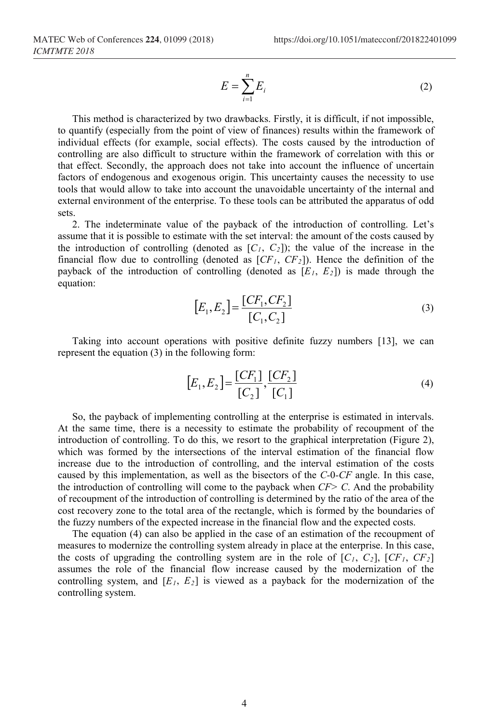$$
E = \sum_{i=1}^{n} E_i
$$
 (2)

This method is characterized by two drawbacks. Firstly, it is difficult, if not impossible, to quantify (especially from the point of view of finances) results within the framework of individual effects (for example, social effects). The costs caused by the introduction of controlling are also difficult to structure within the framework of correlation with this or that effect. Secondly, the approach does not take into account the influence of uncertain factors of endogenous and exogenous origin. This uncertainty causes the necessity to use tools that would allow to take into account the unavoidable uncertainty of the internal and external environment of the enterprise. To these tools can be attributed the apparatus of odd sets.

2. The indeterminate value of the payback of the introduction of controlling. Let's assume that it is possible to estimate with the set interval: the amount of the costs caused by the introduction of controlling (denoted as  $[C_1, C_2]$ ); the value of the increase in the financial flow due to controlling (denoted as  $[CF<sub>1</sub>, CF<sub>2</sub>]$ ). Hence the definition of the payback of the introduction of controlling (denoted as  $[E_1, E_2]$ ) is made through the equation:

$$
[E_1, E_2] = \frac{[CF_1, CF_2]}{[C_1, C_2]}
$$
\n(3)

Taking into account operations with positive definite fuzzy numbers [13], we can represent the equation (3) in the following form:

$$
[E_1, E_2] = \frac{[CF_1]}{[C_2]}, \frac{[CF_2]}{[C_1]}
$$
\n(4)

So, the payback of implementing controlling at the enterprise is estimated in intervals. At the same time, there is a necessity to estimate the probability of recoupment of the introduction of controlling. To do this, we resort to the graphical interpretation (Figure 2), which was formed by the intersections of the interval estimation of the financial flow increase due to the introduction of controlling, and the interval estimation of the costs caused by this implementation, as well as the bisectors of the *C-*0*-CF* angle. In this case, the introduction of controlling will come to the payback when *CF> C*. And the probability of recoupment of the introduction of controlling is determined by the ratio of the area of the cost recovery zone to the total area of the rectangle, which is formed by the boundaries of the fuzzy numbers of the expected increase in the financial flow and the expected costs.

The equation (4) can also be applied in the case of an estimation of the recoupment of measures to modernize the controlling system already in place at the enterprise. In this case, the costs of upgrading the controlling system are in the role of  $[C_1, C_2]$ ,  $[CF_1, CF_2]$ assumes the role of the financial flow increase caused by the modernization of the controlling system, and  $[E_1, E_2]$  is viewed as a payback for the modernization of the controlling system.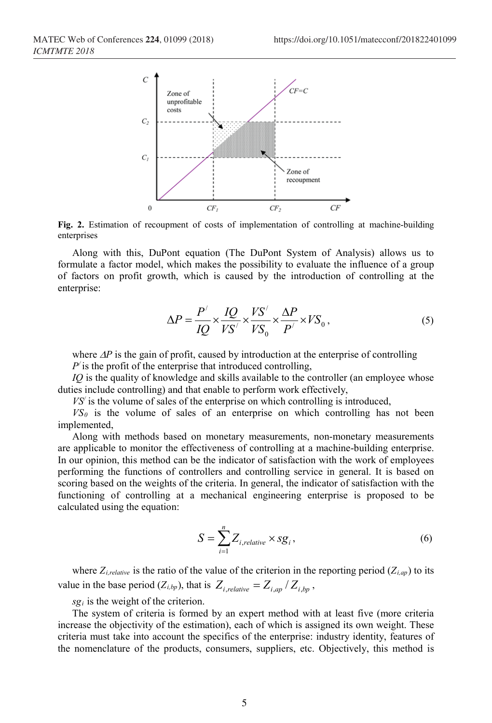

**Fig. 2.** Estimation of recoupment of costs of implementation of controlling at machine-building enterprises

Along with this, DuPont equation (The DuPont System of Analysis) allows us to formulate a factor model, which makes the possibility to evaluate the influence of a group of factors on profit growth, which is caused by the introduction of controlling at the enterprise:

$$
\Delta P = \frac{P'}{IQ} \times \frac{IQ}{VS'} \times \frac{YS'}{VS_0} \times \frac{\Delta P}{P'} \times VS_0 ,
$$
 (5)

where ∆*P* is the gain of profit, caused by introduction at the enterprise of controlling

 $P'$  is the profit of the enterprise that introduced controlling,

*IQ* is the quality of knowledge and skills available to the controller (an employee whose duties include controlling) and that enable to perform work effectively,

*VS/* is the volume of sales of the enterprise on which controlling is introduced,

 $VS_0$  is the volume of sales of an enterprise on which controlling has not been implemented,

Along with methods based on monetary measurements, non-monetary measurements are applicable to monitor the effectiveness of controlling at a machine-building enterprise. In our opinion, this method can be the indicator of satisfaction with the work of employees performing the functions of controllers and controlling service in general. It is based on scoring based on the weights of the criteria. In general, the indicator of satisfaction with the functioning of controlling at a mechanical engineering enterprise is proposed to be calculated using the equation:

$$
S = \sum_{i=1}^{n} Z_{i, relative} \times sg_i, \qquad (6)
$$

where  $Z_{i,relative}$  is the ratio of the value of the criterion in the reporting period  $(Z_{i,ap})$  to its value in the base period  $(Z_{i,bp})$ , that is  $Z_{i,relative} = Z_{i,ap}/Z_{i,bn}$ ,

 $sg<sub>i</sub>$  is the weight of the criterion.

The system of criteria is formed by an expert method with at least five (more criteria increase the objectivity of the estimation), each of which is assigned its own weight. These criteria must take into account the specifics of the enterprise: industry identity, features of the nomenclature of the products, consumers, suppliers, etc. Objectively, this method is